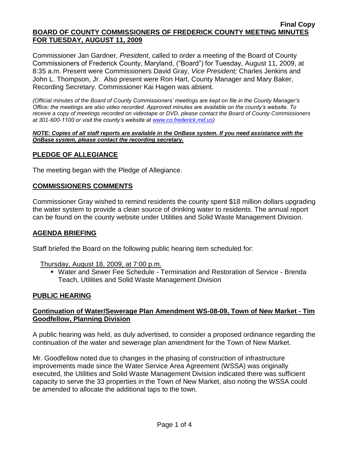Commissioner Jan Gardner, *President*, called to order a meeting of the Board of County Commissioners of Frederick County, Maryland, ("Board") for Tuesday, August 11, 2009, at 8:35 a.m. Present were Commissioners David Gray, *Vice President;* Charles Jenkins and John L. Thompson, Jr. Also present were Ron Hart, County Manager and Mary Baker, Recording Secretary. Commissioner Kai Hagen was absent.

*(Official minutes of the Board of County Commissioners' meetings are kept on file in the County Manager's Office; the meetings are also video recorded. Approved minutes are available on the county's website. To receive a copy of meetings recorded on videotape or DVD, please contact the Board of County Commissioners at 301-600-1100 or visit the county's website at [www.co.frederick.md.us\)](http://www.co.frederick.md.us/)*

#### *NOTE: Copies of all staff reports are available in the OnBase system. If you need assistance with the OnBase system, please contact the recording secretary.*

# **PLEDGE OF ALLEGIANCE**

The meeting began with the Pledge of Allegiance.

#### **COMMISSIONERS COMMENTS**

Commissioner Gray wished to remind residents the county spent \$18 million dollars upgrading the water system to provide a clean source of drinking water to residents. The annual report can be found on the county website under Utilities and Solid Waste Management Division.

## **AGENDA BRIEFING**

Staff briefed the Board on the following public hearing item scheduled for:

Thursday, August 18, 2009, at 7:00 p.m.

 Water and Sewer Fee Schedule - Termination and Restoration of Service - Brenda Teach, Utilities and Solid Waste Management Division

## **PUBLIC HEARING**

# **Continuation of Water/Sewerage Plan Amendment WS-08-09, Town of New Market - Tim Goodfellow, Planning Division**

A public hearing was held, as duly advertised, to consider a proposed ordinance regarding the continuation of the water and sewerage plan amendment for the Town of New Market.

Mr. Goodfellow noted due to changes in the phasing of construction of infrastructure improvements made since the Water Service Area Agreement (WSSA) was originally executed, the Utilities and Solid Waste Management Division indicated there was sufficient capacity to serve the 33 properties in the Town of New Market, also noting the WSSA could be amended to allocate the additional taps to the town.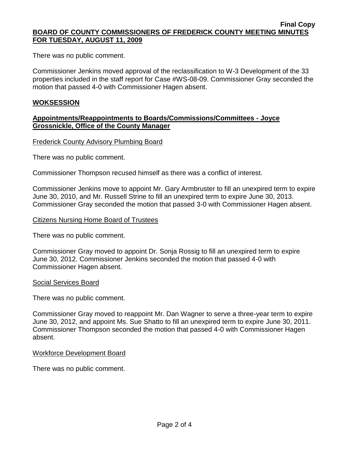There was no public comment.

Commissioner Jenkins moved approval of the reclassification to W-3 Development of the 33 properties included in the staff report for Case #WS-08-09. Commissioner Gray seconded the motion that passed 4-0 with Commissioner Hagen absent.

## **WOKSESSION**

## **Appointments/Reappointments to Boards/Commissions/Committees - Joyce Grossnickle, Office of the County Manager**

Frederick County Advisory Plumbing Board

There was no public comment.

Commissioner Thompson recused himself as there was a conflict of interest.

Commissioner Jenkins move to appoint Mr. Gary Armbruster to fill an unexpired term to expire June 30, 2010, and Mr. Russell Strine to fill an unexpired term to expire June 30, 2013. Commissioner Gray seconded the motion that passed 3-0 with Commissioner Hagen absent.

#### Citizens Nursing Home Board of Trustees

There was no public comment.

Commissioner Gray moved to appoint Dr. Sonja Rossig to fill an unexpired term to expire June 30, 2012. Commissioner Jenkins seconded the motion that passed 4-0 with Commissioner Hagen absent.

## Social Services Board

There was no public comment.

Commissioner Gray moved to reappoint Mr. Dan Wagner to serve a three-year term to expire June 30, 2012, and appoint Ms. Sue Shatto to fill an unexpired term to expire June 30, 2011. Commissioner Thompson seconded the motion that passed 4-0 with Commissioner Hagen absent.

## Workforce Development Board

There was no public comment.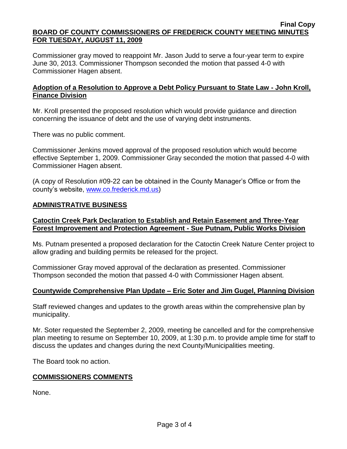Commissioner gray moved to reappoint Mr. Jason Judd to serve a four-year term to expire June 30, 2013. Commissioner Thompson seconded the motion that passed 4-0 with Commissioner Hagen absent.

#### **Adoption of a Resolution to Approve a Debt Policy Pursuant to State Law - John Kroll, Finance Division**

Mr. Kroll presented the proposed resolution which would provide guidance and direction concerning the issuance of debt and the use of varying debt instruments.

There was no public comment.

Commissioner Jenkins moved approval of the proposed resolution which would become effective September 1, 2009. Commissioner Gray seconded the motion that passed 4-0 with Commissioner Hagen absent.

(A copy of Resolution #09-22 can be obtained in the County Manager's Office or from the county's website, [www.co.frederick.md.us\)](www.co.frederick.md.us)

#### **ADMINISTRATIVE BUSINESS**

# **Catoctin Creek Park Declaration to Establish and Retain Easement and Three-Year Forest Improvement and Protection Agreement - Sue Putnam, Public Works Division**

Ms. Putnam presented a proposed declaration for the Catoctin Creek Nature Center project to allow grading and building permits be released for the project.

Commissioner Gray moved approval of the declaration as presented. Commissioner Thompson seconded the motion that passed 4-0 with Commissioner Hagen absent.

## **Countywide Comprehensive Plan Update – Eric Soter and Jim Gugel, Planning Division**

Staff reviewed changes and updates to the growth areas within the comprehensive plan by municipality.

Mr. Soter requested the September 2, 2009, meeting be cancelled and for the comprehensive plan meeting to resume on September 10, 2009, at 1:30 p.m. to provide ample time for staff to discuss the updates and changes during the next County/Municipalities meeting.

The Board took no action.

## **COMMISSIONERS COMMENTS**

None.